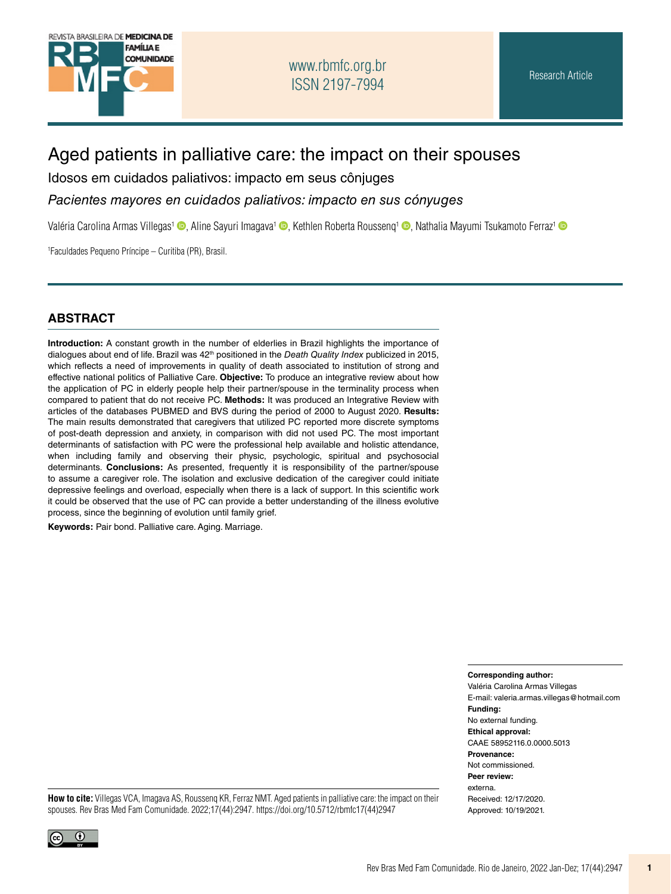

# Aged patients in palliative care: the impact on their spouses

Idosos em cuidados paliativos: impacto em seus cônjuges

*Pacientes mayores en cuidados paliativos: impacto en sus cónyuges*

Valéria Carolina Armas Villegas<sup>[1](http://orcid.org/0000-0003-4554-6157)</sup> [,](http://orcid.org/0000-0001-8630-853X) Aline Sayuri Imagava<sup>1</sup> , Kethlen Roberta Roussenq<sup>1</sup> , Nathalia Mayumi Tsukamoto Ferraz<sup>1</sup> a

1 Faculdades Pequeno Príncipe – Curitiba (PR), Brasil.

#### **ABSTRACT**

**Introduction:** A constant growth in the number of elderlies in Brazil highlights the importance of dialogues about end of life. Brazil was 42th positioned in the *Death Quality Index* publicized in 2015, which reflects a need of improvements in quality of death associated to institution of strong and effective national politics of Palliative Care. **Objective:** To produce an integrative review about how the application of PC in elderly people help their partner/spouse in the terminality process when compared to patient that do not receive PC. **Methods:** It was produced an Integrative Review with articles of the databases PUBMED and BVS during the period of 2000 to August 2020. **Results:**  The main results demonstrated that caregivers that utilized PC reported more discrete symptoms of post-death depression and anxiety, in comparison with did not used PC. The most important determinants of satisfaction with PC were the professional help available and holistic attendance, when including family and observing their physic, psychologic, spiritual and psychosocial determinants. **Conclusions:** As presented, frequently it is responsibility of the partner/spouse to assume a caregiver role. The isolation and exclusive dedication of the caregiver could initiate depressive feelings and overload, especially when there is a lack of support. In this scientific work it could be observed that the use of PC can provide a better understanding of the illness evolutive process, since the beginning of evolution until family grief.

**Keywords:** Pair bond. Palliative care. Aging. Marriage.

**Corresponding author:**

Valéria Carolina Armas Villegas E-mail: [valeria.armas.villegas@hotmail.com](mailto:valeria.armas.villegas@hotmail.com) **Funding:** No external funding. **Ethical approval:** CAAE 58952116.0.0000.5013 **Provenance:** Not commissioned. **Peer review:** externa. Received: 12/17/2020. Approved: 10/19/2021.

**How to cite:** Villegas VCA, Imagava AS, Roussenq KR, Ferraz NMT. Aged patients in palliative care: the impact on their spouses. Rev Bras Med Fam Comunidade. 2022;17(44):2947. [https://doi.org/10.5712/rbmfc17\(44\)2947](https://doi.org/10.5712/rbmfc17(44)2947)

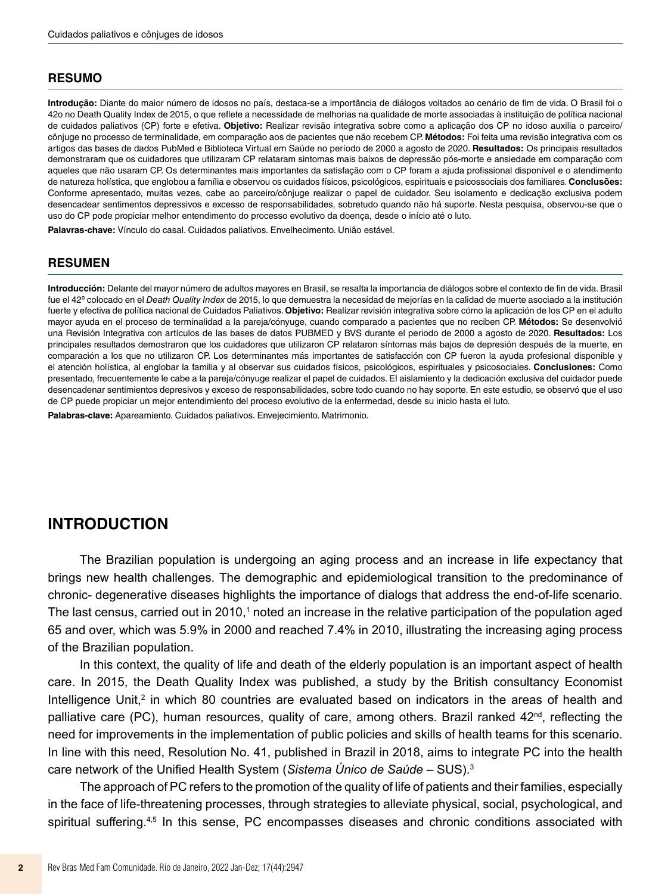#### **RESUMO**

**Introdução:** Diante do maior número de idosos no país, destaca-se a importância de diálogos voltados ao cenário de fim de vida. O Brasil foi o 42o no Death Quality Index de 2015, o que reflete a necessidade de melhorias na qualidade de morte associadas à instituição de política nacional de cuidados paliativos (CP) forte e efetiva. **Objetivo:** Realizar revisão integrativa sobre como a aplicação dos CP no idoso auxilia o parceiro/ cônjuge no processo de terminalidade, em comparação aos de pacientes que não recebem CP. **Métodos:** Foi feita uma revisão integrativa com os artigos das bases de dados PubMed e Biblioteca Virtual em Saúde no período de 2000 a agosto de 2020. **Resultados:** Os principais resultados demonstraram que os cuidadores que utilizaram CP relataram sintomas mais baixos de depressão pós-morte e ansiedade em comparação com aqueles que não usaram CP. Os determinantes mais importantes da satisfação com o CP foram a ajuda profissional disponível e o atendimento de natureza holística, que englobou a família e observou os cuidados físicos, psicológicos, espirituais e psicossociais dos familiares. **Conclusões:** Conforme apresentado, muitas vezes, cabe ao parceiro/cônjuge realizar o papel de cuidador. Seu isolamento e dedicação exclusiva podem desencadear sentimentos depressivos e excesso de responsabilidades, sobretudo quando não há suporte. Nesta pesquisa, observou-se que o uso do CP pode propiciar melhor entendimento do processo evolutivo da doença, desde o início até o luto.

**Palavras-chave:** Vínculo do casal. Cuidados paliativos. Envelhecimento. União estável.

#### **RESUMEN**

**Introducción:** Delante del mayor número de adultos mayores en Brasil, se resalta la importancia de diálogos sobre el contexto de fin de vida. Brasil fue el 42º colocado en el *Death Quality Index* de 2015, lo que demuestra la necesidad de mejorías en la calidad de muerte asociado a la institución fuerte y efectiva de política nacional de Cuidados Paliativos. **Objetivo:** Realizar revisión integrativa sobre cómo la aplicación de los CP en el adulto mayor ayuda en el proceso de terminalidad a la pareja/cónyuge, cuando comparado a pacientes que no reciben CP. **Métodos:** Se desenvolvió una Revisión Integrativa con artículos de las bases de datos PUBMED y BVS durante el periodo de 2000 a agosto de 2020. **Resultados:** Los principales resultados demostraron que los cuidadores que utilizaron CP relataron síntomas más bajos de depresión después de la muerte, en comparación a los que no utilizaron CP. Los determinantes más importantes de satisfacción con CP fueron la ayuda profesional disponible y el atención holística, al englobar la familia y al observar sus cuidados físicos, psicológicos, espirituales y psicosociales. **Conclusiones:** Como presentado, frecuentemente le cabe a la pareja/cónyuge realizar el papel de cuidados. El aislamiento y la dedicación exclusiva del cuidador puede desencadenar sentimientos depresivos y exceso de responsabilidades, sobre todo cuando no hay soporte. En este estudio, se observó que el uso de CP puede propiciar un mejor entendimiento del proceso evolutivo de la enfermedad, desde su inicio hasta el luto.

**Palabras-clave:** Apareamiento. Cuidados paliativos. Envejecimiento. Matrimonio.

## **INTRODUCTION**

The Brazilian population is undergoing an aging process and an increase in life expectancy that brings new health challenges. The demographic and epidemiological transition to the predominance of chronic- degenerative diseases highlights the importance of dialogs that address the end-of-life scenario. The last census, carried out in 2010, $^{\text{1}}$  noted an increase in the relative participation of the population aged 65 and over, which was 5.9% in 2000 and reached 7.4% in 2010, illustrating the increasing aging process of the Brazilian population.

In this context, the quality of life and death of the elderly population is an important aspect of health care. In 2015, the Death Quality Index was published, a study by the British consultancy Economist Intelligence Unit,<sup>2</sup> in which 80 countries are evaluated based on indicators in the areas of health and palliative care (PC), human resources, quality of care, among others. Brazil ranked  $42<sup>nd</sup>$ , reflecting the need for improvements in the implementation of public policies and skills of health teams for this scenario. In line with this need, Resolution No. 41, published in Brazil in 2018, aims to integrate PC into the health care network of the Unified Health System (*Sistema Único de Saúde* – SUS).<sup>3</sup>

The approach of PC refers to the promotion of the quality of life of patients and their families, especially in the face of life-threatening processes, through strategies to alleviate physical, social, psychological, and spiritual suffering.<sup>4,5</sup> In this sense, PC encompasses diseases and chronic conditions associated with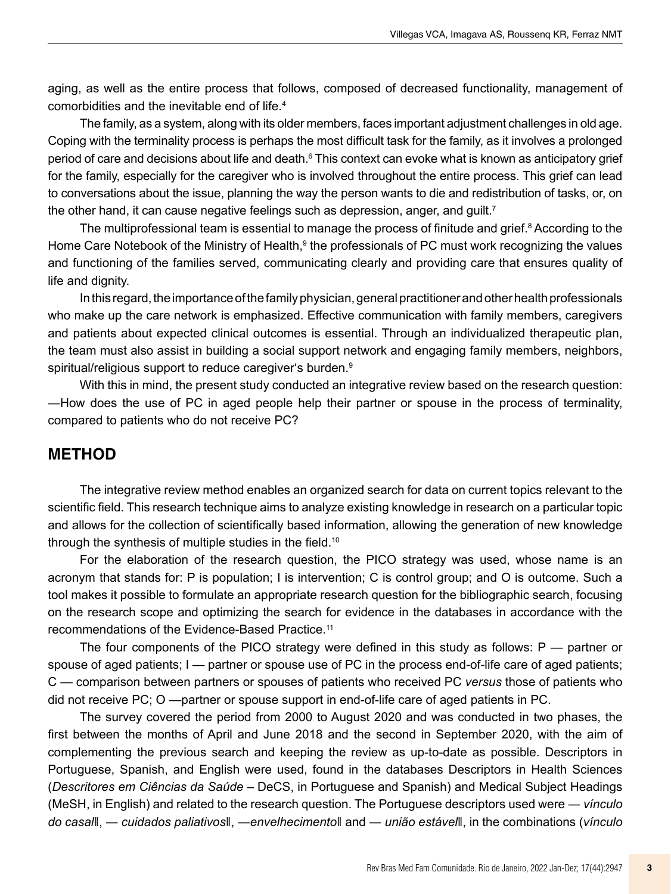aging, as well as the entire process that follows, composed of decreased functionality, management of comorbidities and the inevitable end of life.4

The family, as a system, along with its older members, faces important adjustment challenges in old age. Coping with the terminality process is perhaps the most difficult task for the family, as it involves a prolonged period of care and decisions about life and death. $\rm ^6$  This context can evoke what is known as anticipatory grief for the family, especially for the caregiver who is involved throughout the entire process. This grief can lead to conversations about the issue, planning the way the person wants to die and redistribution of tasks, or, on the other hand, it can cause negative feelings such as depression, anger, and guilt.<sup>7</sup>

The multiprofessional team is essential to manage the process of finitude and grief. $^8$  According to the Home Care Notebook of the Ministry of Health,<sup>9</sup> the professionals of PC must work recognizing the values and functioning of the families served, communicating clearly and providing care that ensures quality of life and dignity.

In this regard, the importance of the family physician, general practitioner and other health professionals who make up the care network is emphasized. Effective communication with family members, caregivers and patients about expected clinical outcomes is essential. Through an individualized therapeutic plan, the team must also assist in building a social support network and engaging family members, neighbors, spiritual/religious support to reduce caregiver's burden.<sup>9</sup>

With this in mind, the present study conducted an integrative review based on the research question: ―How does the use of PC in aged people help their partner or spouse in the process of terminality, compared to patients who do not receive PC?

### **METHOD**

The integrative review method enables an organized search for data on current topics relevant to the scientific field. This research technique aims to analyze existing knowledge in research on a particular topic and allows for the collection of scientifically based information, allowing the generation of new knowledge through the synthesis of multiple studies in the field.<sup>10</sup>

For the elaboration of the research question, the PICO strategy was used, whose name is an acronym that stands for: P is population; I is intervention; C is control group; and O is outcome. Such a tool makes it possible to formulate an appropriate research question for the bibliographic search, focusing on the research scope and optimizing the search for evidence in the databases in accordance with the recommendations of the Evidence-Based Practice.11

The four components of the PICO strategy were defined in this study as follows:  $P$  — partner or spouse of aged patients; I — partner or spouse use of PC in the process end-of-life care of aged patients; C — comparison between partners or spouses of patients who received PC *versus* those of patients who did not receive PC; O —partner or spouse support in end-of-life care of aged patients in PC.

The survey covered the period from 2000 to August 2020 and was conducted in two phases, the first between the months of April and June 2018 and the second in September 2020, with the aim of complementing the previous search and keeping the review as up-to-date as possible. Descriptors in Portuguese, Spanish, and English were used, found in the databases Descriptors in Health Sciences (*Descritores em Ciências da Saúde* – DeCS, in Portuguese and Spanish) and Medical Subject Headings (MeSH, in English) and related to the research question. The Portuguese descriptors used were ― *vínculo do casal*‖, ― *cuidados paliativos*‖, ―*envelhecimento*‖ and ― *união estável*‖, in the combinations (*vínculo*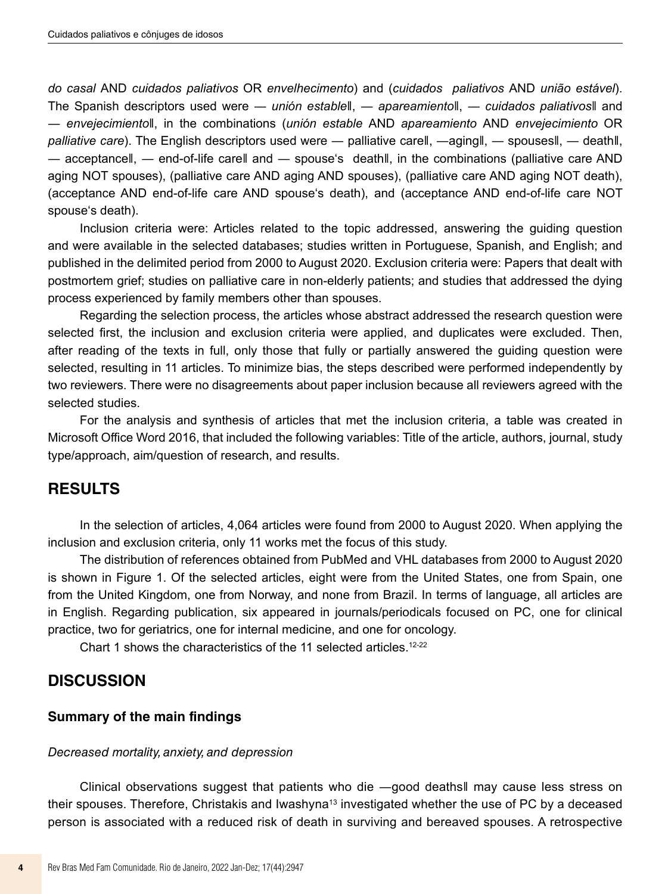*do casal* AND *cuidados paliativos* OR *envelhecimento*) and (*cuidados paliativos* AND *união estável*). The Spanish descriptors used were ― *unión estable*‖, ― *apareamiento*‖, ― *cuidados paliativos*‖ and ― *envejecimiento*‖, in the combinations (*unión estable* AND *apareamiento* AND *envejecimiento* OR *palliative care*). The English descriptors used were ― palliative care‖, ―aging‖, ― spouses‖, ― death‖, ― acceptance‖, ― end-of-life care‖ and ― spouse's death‖, in the combinations (palliative care AND aging NOT spouses), (palliative care AND aging AND spouses), (palliative care AND aging NOT death), (acceptance AND end-of-life care AND spouse's death), and (acceptance AND end-of-life care NOT spouse's death).

Inclusion criteria were: Articles related to the topic addressed, answering the guiding question and were available in the selected databases; studies written in Portuguese, Spanish, and English; and published in the delimited period from 2000 to August 2020. Exclusion criteria were: Papers that dealt with postmortem grief; studies on palliative care in non-elderly patients; and studies that addressed the dying process experienced by family members other than spouses.

Regarding the selection process, the articles whose abstract addressed the research question were selected first, the inclusion and exclusion criteria were applied, and duplicates were excluded. Then, after reading of the texts in full, only those that fully or partially answered the guiding question were selected, resulting in 11 articles. To minimize bias, the steps described were performed independently by two reviewers. There were no disagreements about paper inclusion because all reviewers agreed with the selected studies.

For the analysis and synthesis of articles that met the inclusion criteria, a table was created in Microsoft Office Word 2016, that included the following variables: Title of the article, authors, journal, study type/approach, aim/question of research, and results.

## **RESULTS**

In the selection of articles, 4,064 articles were found from 2000 to August 2020. When applying the inclusion and exclusion criteria, only 11 works met the focus of this study.

The distribution of references obtained from PubMed and VHL databases from 2000 to August 2020 is shown in Figure 1. Of the selected articles, eight were from the United States, one from Spain, one from the United Kingdom, one from Norway, and none from Brazil. In terms of language, all articles are in English. Regarding publication, six appeared in journals/periodicals focused on PC, one for clinical practice, two for geriatrics, one for internal medicine, and one for oncology.

Chart 1 shows the characteristics of the 11 selected articles.<sup>12-22</sup>

## **DISCUSSION**

#### **Summary of the main findings**

#### *Decreased mortality, anxiety, and depression*

Clinical observations suggest that patients who die ―good deaths‖ may cause less stress on their spouses. Therefore, Christakis and Iwashyna<sup>13</sup> investigated whether the use of PC by a deceased person is associated with a reduced risk of death in surviving and bereaved spouses. A retrospective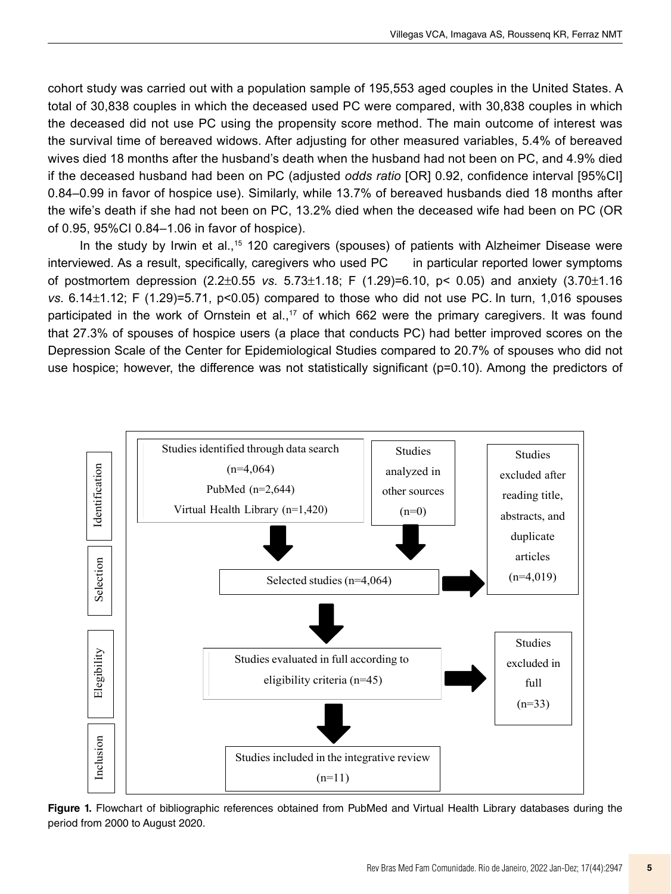cohort study was carried out with a population sample of 195,553 aged couples in the United States. A total of 30,838 couples in which the deceased used PC were compared, with 30,838 couples in which the deceased did not use PC using the propensity score method. The main outcome of interest was the survival time of bereaved widows. After adjusting for other measured variables, 5.4% of bereaved wives died 18 months after the husband's death when the husband had not been on PC, and 4.9% died if the deceased husband had been on PC (adjusted *odds ratio* [OR] 0.92, confidence interval [95%CI] 0.84–0.99 in favor of hospice use). Similarly, while 13.7% of bereaved husbands died 18 months after the wife's death if she had not been on PC, 13.2% died when the deceased wife had been on PC (OR of 0.95, 95%CI 0.84–1.06 in favor of hospice).

In the study by Irwin et al.,<sup>15</sup> 120 caregivers (spouses) of patients with Alzheimer Disease were interviewed. As a result, specifically, caregivers who used PC in particular reported lower symptoms of postmortem depression (2.2±0.55 *vs*. 5.73±1.18; F (1.29)=6.10, p< 0.05) and anxiety (3.70±1.16 *vs*. 6.14±1.12; F (1.29)=5.71, p<0.05) compared to those who did not use PC. In turn, 1,016 spouses participated in the work of Ornstein et al.,<sup>17</sup> of which 662 were the primary caregivers. It was found that 27.3% of spouses of hospice users (a place that conducts PC) had better improved scores on the Depression Scale of the Center for Epidemiological Studies compared to 20.7% of spouses who did not use hospice; however, the difference was not statistically significant (p=0.10). Among the predictors of



**Figure 1.** Flowchart of bibliographic references obtained from PubMed and Virtual Health Library databases during the **Figure 1.** Flowchart of bibliographic references obtained from PubMed and Virtual period from 2000 to August 2020.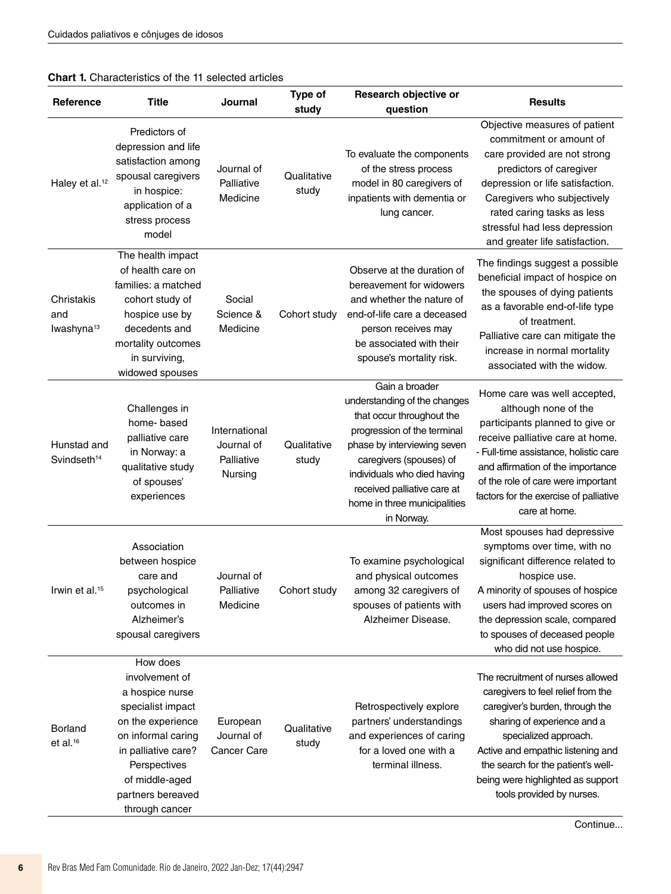#### **Chart 1.** Characteristics of the 11 selected articles

| Reference                                   | <b>Title</b>                                                                                                                                                                                                  | Journal                                              | <b>Type of</b><br>study | Research objective or<br>question                                                                                                                                                                                                                                                | <b>Results</b>                                                                                                                                                                                                                                                                                                  |
|---------------------------------------------|---------------------------------------------------------------------------------------------------------------------------------------------------------------------------------------------------------------|------------------------------------------------------|-------------------------|----------------------------------------------------------------------------------------------------------------------------------------------------------------------------------------------------------------------------------------------------------------------------------|-----------------------------------------------------------------------------------------------------------------------------------------------------------------------------------------------------------------------------------------------------------------------------------------------------------------|
| Haley et al. <sup>12</sup>                  | Predictors of<br>depression and life<br>satisfaction among<br>spousal caregivers<br>in hospice:<br>application of a<br>stress process<br>model                                                                | Journal of<br>Palliative<br>Medicine                 | Qualitative<br>study    | To evaluate the components<br>of the stress process<br>model in 80 caregivers of<br>inpatients with dementia or<br>lung cancer.                                                                                                                                                  | Objective measures of patient<br>commitment or amount of<br>care provided are not strong<br>predictors of caregiver<br>depression or life satisfaction.<br>Caregivers who subjectively<br>rated caring tasks as less<br>stressful had less depression<br>and greater life satisfaction.                         |
| Christakis<br>and<br>lwashyna <sup>13</sup> | The health impact<br>of health care on<br>families: a matched<br>cohort study of<br>hospice use by<br>decedents and<br>mortality outcomes<br>in surviving,<br>widowed spouses                                 | Social<br>Science &<br>Medicine                      | Cohort study            | Observe at the duration of<br>bereavement for widowers<br>and whether the nature of<br>end-of-life care a deceased<br>person receives may<br>be associated with their<br>spouse's mortality risk.                                                                                | The findings suggest a possible<br>beneficial impact of hospice on<br>the spouses of dying patients<br>as a favorable end-of-life type<br>of treatment.<br>Palliative care can mitigate the<br>increase in normal mortality<br>associated with the widow.                                                       |
| Hunstad and<br>Svindseth <sup>14</sup>      | Challenges in<br>home-based<br>palliative care<br>in Norway: a<br>qualitative study<br>of spouses'<br>experiences                                                                                             | International<br>Journal of<br>Palliative<br>Nursing | Qualitative<br>study    | Gain a broader<br>understanding of the changes<br>that occur throughout the<br>progression of the terminal<br>phase by interviewing seven<br>caregivers (spouses) of<br>individuals who died having<br>received palliative care at<br>home in three municipalities<br>in Norway. | Home care was well accepted,<br>although none of the<br>participants planned to give or<br>receive palliative care at home.<br>- Full-time assistance, holistic care<br>and affirmation of the importance<br>of the role of care were important<br>factors for the exercise of palliative<br>care at home.      |
| Irwin et al. <sup>15</sup>                  | Association<br>between hospice<br>care and<br>psychological<br>outcomes in<br>Alzheimer's<br>spousal caregivers                                                                                               | Journal of<br>Palliative<br>Medicine                 | Cohort study            | To examine psychological<br>and physical outcomes<br>among 32 caregivers of<br>spouses of patients with<br>Alzheimer Disease.                                                                                                                                                    | Most spouses had depressive<br>symptoms over time, with no<br>significant difference related to<br>hospice use.<br>A minority of spouses of hospice<br>users had improved scores on<br>the depression scale, compared<br>to spouses of deceased people<br>who did not use hospice.                              |
| Borland<br>et al. <sup>16</sup>             | How does<br>involvement of<br>a hospice nurse<br>specialist impact<br>on the experience<br>on informal caring<br>in palliative care?<br>Perspectives<br>of middle-aged<br>partners bereaved<br>through cancer | European<br>Journal of<br><b>Cancer Care</b>         | Qualitative<br>study    | Retrospectively explore<br>partners' understandings<br>and experiences of caring<br>for a loved one with a<br>terminal illness.                                                                                                                                                  | The recruitment of nurses allowed<br>caregivers to feel relief from the<br>caregiver's burden, through the<br>sharing of experience and a<br>specialized approach.<br>Active and empathic listening and<br>the search for the patient's well-<br>being were highlighted as support<br>tools provided by nurses. |

Continue...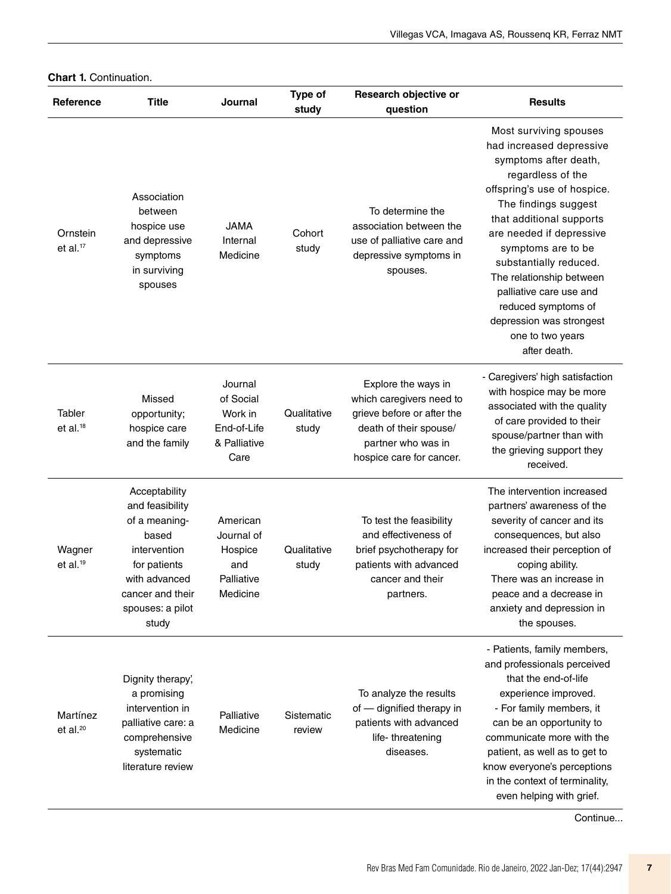| Reference                             | <b>Title</b>                                                                                                                                                 | Journal                                                                | Type of<br>study     | Research objective or<br>question                                                                                                                         | <b>Results</b>                                                                                                                                                                                                                                                                                                                                                                                                |
|---------------------------------------|--------------------------------------------------------------------------------------------------------------------------------------------------------------|------------------------------------------------------------------------|----------------------|-----------------------------------------------------------------------------------------------------------------------------------------------------------|---------------------------------------------------------------------------------------------------------------------------------------------------------------------------------------------------------------------------------------------------------------------------------------------------------------------------------------------------------------------------------------------------------------|
| Ornstein<br>et al. $17$               | Association<br>between<br>hospice use<br>and depressive<br>symptoms<br>in surviving<br>spouses                                                               | <b>JAMA</b><br>Internal<br>Medicine                                    | Cohort<br>study      | To determine the<br>association between the<br>use of palliative care and<br>depressive symptoms in<br>spouses.                                           | Most surviving spouses<br>had increased depressive<br>symptoms after death,<br>regardless of the<br>offspring's use of hospice.<br>The findings suggest<br>that additional supports<br>are needed if depressive<br>symptoms are to be<br>substantially reduced.<br>The relationship between<br>palliative care use and<br>reduced symptoms of<br>depression was strongest<br>one to two years<br>after death. |
| <b>Tabler</b><br>et al. <sup>18</sup> | Missed<br>opportunity;<br>hospice care<br>and the family                                                                                                     | Journal<br>of Social<br>Work in<br>End-of-Life<br>& Palliative<br>Care | Qualitative<br>study | Explore the ways in<br>which caregivers need to<br>grieve before or after the<br>death of their spouse/<br>partner who was in<br>hospice care for cancer. | - Caregivers' high satisfaction<br>with hospice may be more<br>associated with the quality<br>of care provided to their<br>spouse/partner than with<br>the grieving support they<br>received.                                                                                                                                                                                                                 |
| Wagner<br>et al. $19$                 | Acceptability<br>and feasibility<br>of a meaning-<br>based<br>intervention<br>for patients<br>with advanced<br>cancer and their<br>spouses: a pilot<br>study | American<br>Journal of<br>Hospice<br>and<br>Palliative<br>Medicine     | Qualitative<br>study | To test the feasibility<br>and effectiveness of<br>brief psychotherapy for<br>patients with advanced<br>cancer and their<br>partners.                     | The intervention increased<br>partners' awareness of the<br>severity of cancer and its<br>consequences, but also<br>increased their perception of<br>coping ability.<br>There was an increase in<br>peace and a decrease in<br>anxiety and depression in<br>the spouses.                                                                                                                                      |
| Martínez<br>et al. <sup>20</sup>      | Dignity therapy,<br>a promising<br>intervention in<br>palliative care: a<br>comprehensive<br>systematic<br>literature review                                 | Palliative<br>Medicine                                                 | Sistematic<br>review | To analyze the results<br>of - dignified therapy in<br>patients with advanced<br>life-threatening<br>diseases.                                            | - Patients, family members,<br>and professionals perceived<br>that the end-of-life<br>experience improved.<br>- For family members, it<br>can be an opportunity to<br>communicate more with the<br>patient, as well as to get to<br>know everyone's perceptions<br>in the context of terminality,<br>even helping with grief.                                                                                 |

#### **Chart 1.** Continuation.

Continue...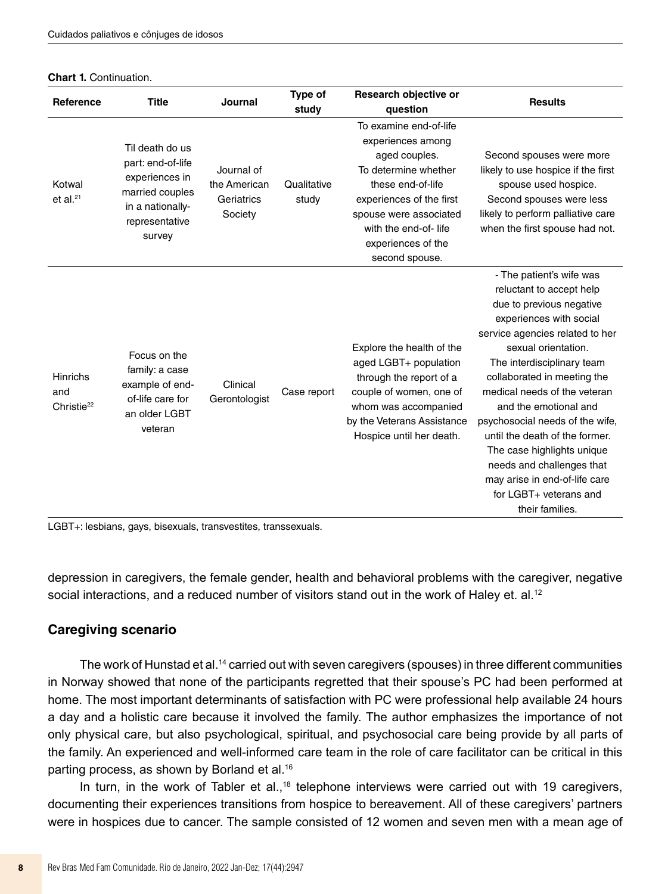| <b>Chart 1. Continuation.</b> |  |
|-------------------------------|--|
|-------------------------------|--|

| Reference                                        | <b>Title</b>                                                                                                              | Journal                                             | Type of<br>study     | Research objective or<br>question                                                                                                                                                                                               | <b>Results</b>                                                                                                                                                                                                                                                                                                                                                                                                                                                                                            |
|--------------------------------------------------|---------------------------------------------------------------------------------------------------------------------------|-----------------------------------------------------|----------------------|---------------------------------------------------------------------------------------------------------------------------------------------------------------------------------------------------------------------------------|-----------------------------------------------------------------------------------------------------------------------------------------------------------------------------------------------------------------------------------------------------------------------------------------------------------------------------------------------------------------------------------------------------------------------------------------------------------------------------------------------------------|
| Kotwal<br>et al. $21$                            | Til death do us<br>part: end-of-life<br>experiences in<br>married couples<br>in a nationally-<br>representative<br>survey | Journal of<br>the American<br>Geriatrics<br>Society | Qualitative<br>study | To examine end-of-life<br>experiences among<br>aged couples.<br>To determine whether<br>these end-of-life<br>experiences of the first<br>spouse were associated<br>with the end-of-life<br>experiences of the<br>second spouse. | Second spouses were more<br>likely to use hospice if the first<br>spouse used hospice.<br>Second spouses were less<br>likely to perform palliative care<br>when the first spouse had not.                                                                                                                                                                                                                                                                                                                 |
| <b>Hinrichs</b><br>and<br>Christie <sup>22</sup> | Focus on the<br>family: a case<br>example of end-<br>of-life care for<br>an older LGBT<br>veteran                         | Clinical<br>Gerontologist                           | Case report          | Explore the health of the<br>aged LGBT+ population<br>through the report of a<br>couple of women, one of<br>whom was accompanied<br>by the Veterans Assistance<br>Hospice until her death.                                      | - The patient's wife was<br>reluctant to accept help<br>due to previous negative<br>experiences with social<br>service agencies related to her<br>sexual orientation.<br>The interdisciplinary team<br>collaborated in meeting the<br>medical needs of the veteran<br>and the emotional and<br>psychosocial needs of the wife.<br>until the death of the former.<br>The case highlights unique<br>needs and challenges that<br>may arise in end-of-life care<br>for LGBT+ veterans and<br>their families. |

LGBT+: lesbians, gays, bisexuals, transvestites, transsexuals.

depression in caregivers, the female gender, health and behavioral problems with the caregiver, negative social interactions, and a reduced number of visitors stand out in the work of Haley et. al.<sup>12</sup>

#### **Caregiving scenario**

The work of Hunstad et al.<sup>14</sup> carried out with seven caregivers (spouses) in three different communities in Norway showed that none of the participants regretted that their spouse's PC had been performed at home. The most important determinants of satisfaction with PC were professional help available 24 hours a day and a holistic care because it involved the family. The author emphasizes the importance of not only physical care, but also psychological, spiritual, and psychosocial care being provide by all parts of the family. An experienced and well-informed care team in the role of care facilitator can be critical in this parting process, as shown by Borland et al.16

In turn, in the work of Tabler et al.,<sup>18</sup> telephone interviews were carried out with 19 caregivers, documenting their experiences transitions from hospice to bereavement. All of these caregivers' partners were in hospices due to cancer. The sample consisted of 12 women and seven men with a mean age of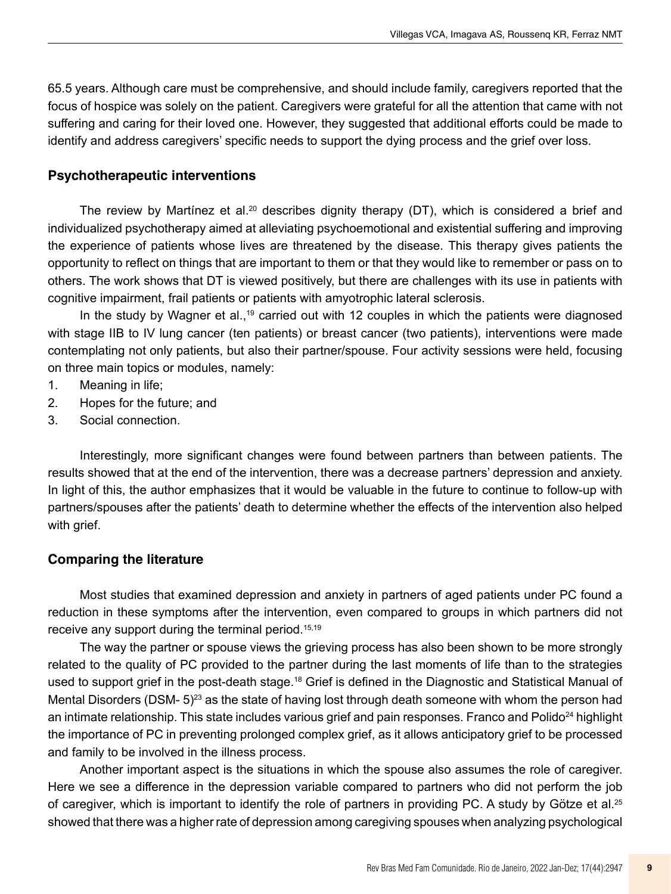65.5 years. Although care must be comprehensive, and should include family, caregivers reported that the focus of hospice was solely on the patient. Caregivers were grateful for all the attention that came with not suffering and caring for their loved one. However, they suggested that additional efforts could be made to identify and address caregivers' specific needs to support the dying process and the grief over loss.

#### **Psychotherapeutic interventions**

The review by Martínez et al.<sup>20</sup> describes dignity therapy (DT), which is considered a brief and individualized psychotherapy aimed at alleviating psychoemotional and existential suffering and improving the experience of patients whose lives are threatened by the disease. This therapy gives patients the opportunity to reflect on things that are important to them or that they would like to remember or pass on to others. The work shows that DT is viewed positively, but there are challenges with its use in patients with cognitive impairment, frail patients or patients with amyotrophic lateral sclerosis.

In the study by Wagner et al.,<sup>19</sup> carried out with 12 couples in which the patients were diagnosed with stage IIB to IV lung cancer (ten patients) or breast cancer (two patients), interventions were made contemplating not only patients, but also their partner/spouse. Four activity sessions were held, focusing on three main topics or modules, namely:

- 1. Meaning in life;
- 2. Hopes for the future; and
- 3. Social connection.

Interestingly, more significant changes were found between partners than between patients. The results showed that at the end of the intervention, there was a decrease partners' depression and anxiety. In light of this, the author emphasizes that it would be valuable in the future to continue to follow-up with partners/spouses after the patients' death to determine whether the effects of the intervention also helped with grief.

### **Comparing the literature**

Most studies that examined depression and anxiety in partners of aged patients under PC found a reduction in these symptoms after the intervention, even compared to groups in which partners did not receive any support during the terminal period.<sup>15,19</sup>

The way the partner or spouse views the grieving process has also been shown to be more strongly related to the quality of PC provided to the partner during the last moments of life than to the strategies used to support grief in the post-death stage.<sup>18</sup> Grief is defined in the Diagnostic and Statistical Manual of Mental Disorders (DSM-  $5)^{23}$  as the state of having lost through death someone with whom the person had an intimate relationship. This state includes various grief and pain responses. Franco and Polido<sup>24</sup> highlight the importance of PC in preventing prolonged complex grief, as it allows anticipatory grief to be processed and family to be involved in the illness process.

Another important aspect is the situations in which the spouse also assumes the role of caregiver. Here we see a difference in the depression variable compared to partners who did not perform the job of caregiver, which is important to identify the role of partners in providing PC. A study by Götze et al.<sup>25</sup> showed that there was a higher rate of depression among caregiving spouses when analyzing psychological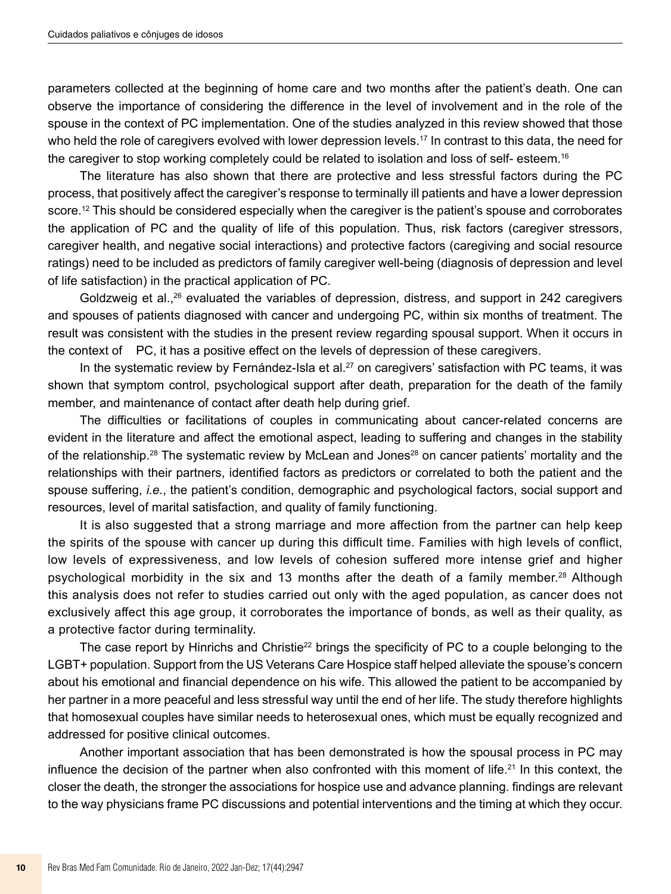parameters collected at the beginning of home care and two months after the patient's death. One can observe the importance of considering the difference in the level of involvement and in the role of the spouse in the context of PC implementation. One of the studies analyzed in this review showed that those who held the role of caregivers evolved with lower depression levels.<sup>17</sup> In contrast to this data, the need for the caregiver to stop working completely could be related to isolation and loss of self- esteem.16

The literature has also shown that there are protective and less stressful factors during the PC process, that positively affect the caregiver's response to terminally ill patients and have a lower depression score.<sup>12</sup> This should be considered especially when the caregiver is the patient's spouse and corroborates the application of PC and the quality of life of this population. Thus, risk factors (caregiver stressors, caregiver health, and negative social interactions) and protective factors (caregiving and social resource ratings) need to be included as predictors of family caregiver well-being (diagnosis of depression and level of life satisfaction) in the practical application of PC.

Goldzweig et al.,<sup>26</sup> evaluated the variables of depression, distress, and support in 242 caregivers and spouses of patients diagnosed with cancer and undergoing PC, within six months of treatment. The result was consistent with the studies in the present review regarding spousal support. When it occurs in the context of PC, it has a positive effect on the levels of depression of these caregivers.

In the systematic review by Fernández-Isla et al.<sup>27</sup> on caregivers' satisfaction with PC teams, it was shown that symptom control, psychological support after death, preparation for the death of the family member, and maintenance of contact after death help during grief.

The difficulties or facilitations of couples in communicating about cancer-related concerns are evident in the literature and affect the emotional aspect, leading to suffering and changes in the stability of the relationship.<sup>28</sup> The systematic review by McLean and Jones<sup>28</sup> on cancer patients' mortality and the relationships with their partners, identified factors as predictors or correlated to both the patient and the spouse suffering, *i.e.*, the patient's condition, demographic and psychological factors, social support and resources, level of marital satisfaction, and quality of family functioning.

It is also suggested that a strong marriage and more affection from the partner can help keep the spirits of the spouse with cancer up during this difficult time. Families with high levels of conflict, low levels of expressiveness, and low levels of cohesion suffered more intense grief and higher psychological morbidity in the six and 13 months after the death of a family member.<sup>28</sup> Although this analysis does not refer to studies carried out only with the aged population, as cancer does not exclusively affect this age group, it corroborates the importance of bonds, as well as their quality, as a protective factor during terminality.

The case report by Hinrichs and Christie<sup>22</sup> brings the specificity of PC to a couple belonging to the LGBT+ population. Support from the US Veterans Care Hospice staff helped alleviate the spouse's concern about his emotional and financial dependence on his wife. This allowed the patient to be accompanied by her partner in a more peaceful and less stressful way until the end of her life. The study therefore highlights that homosexual couples have similar needs to heterosexual ones, which must be equally recognized and addressed for positive clinical outcomes.

Another important association that has been demonstrated is how the spousal process in PC may influence the decision of the partner when also confronted with this moment of life.21 In this context, the closer the death, the stronger the associations for hospice use and advance planning. findings are relevant to the way physicians frame PC discussions and potential interventions and the timing at which they occur.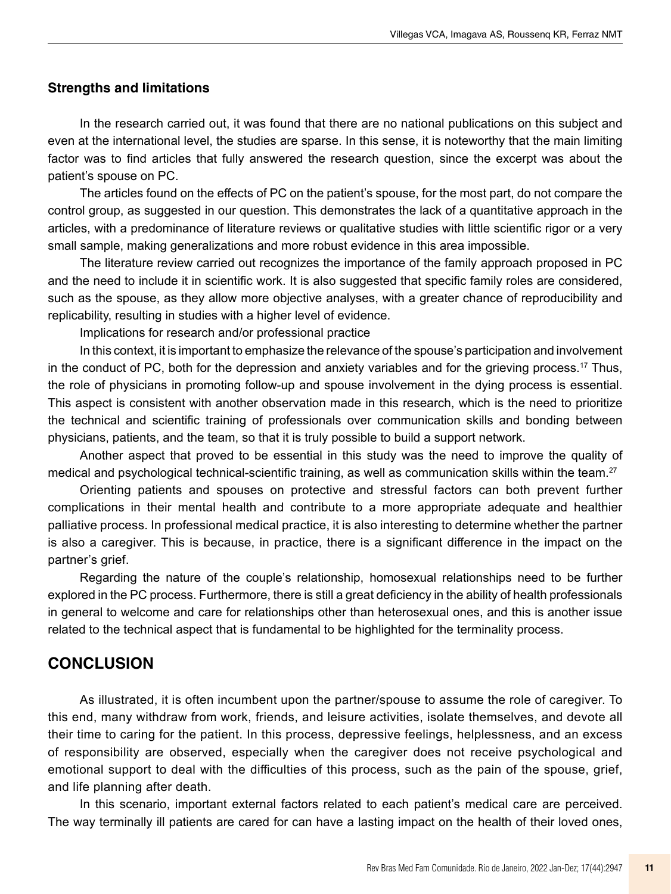#### **Strengths and limitations**

In the research carried out, it was found that there are no national publications on this subject and even at the international level, the studies are sparse. In this sense, it is noteworthy that the main limiting factor was to find articles that fully answered the research question, since the excerpt was about the patient's spouse on PC.

The articles found on the effects of PC on the patient's spouse, for the most part, do not compare the control group, as suggested in our question. This demonstrates the lack of a quantitative approach in the articles, with a predominance of literature reviews or qualitative studies with little scientific rigor or a very small sample, making generalizations and more robust evidence in this area impossible.

The literature review carried out recognizes the importance of the family approach proposed in PC and the need to include it in scientific work. It is also suggested that specific family roles are considered, such as the spouse, as they allow more objective analyses, with a greater chance of reproducibility and replicability, resulting in studies with a higher level of evidence.

Implications for research and/or professional practice

In this context, it is important to emphasize the relevance of the spouse's participation and involvement in the conduct of PC, both for the depression and anxiety variables and for the grieving process.17 Thus, the role of physicians in promoting follow-up and spouse involvement in the dying process is essential. This aspect is consistent with another observation made in this research, which is the need to prioritize the technical and scientific training of professionals over communication skills and bonding between physicians, patients, and the team, so that it is truly possible to build a support network.

Another aspect that proved to be essential in this study was the need to improve the quality of medical and psychological technical-scientific training, as well as communication skills within the team.<sup>27</sup>

Orienting patients and spouses on protective and stressful factors can both prevent further complications in their mental health and contribute to a more appropriate adequate and healthier palliative process. In professional medical practice, it is also interesting to determine whether the partner is also a caregiver. This is because, in practice, there is a significant difference in the impact on the partner's grief.

Regarding the nature of the couple's relationship, homosexual relationships need to be further explored in the PC process. Furthermore, there is still a great deficiency in the ability of health professionals in general to welcome and care for relationships other than heterosexual ones, and this is another issue related to the technical aspect that is fundamental to be highlighted for the terminality process.

## **CONCLUSION**

As illustrated, it is often incumbent upon the partner/spouse to assume the role of caregiver. To this end, many withdraw from work, friends, and leisure activities, isolate themselves, and devote all their time to caring for the patient. In this process, depressive feelings, helplessness, and an excess of responsibility are observed, especially when the caregiver does not receive psychological and emotional support to deal with the difficulties of this process, such as the pain of the spouse, grief, and life planning after death.

In this scenario, important external factors related to each patient's medical care are perceived. The way terminally ill patients are cared for can have a lasting impact on the health of their loved ones,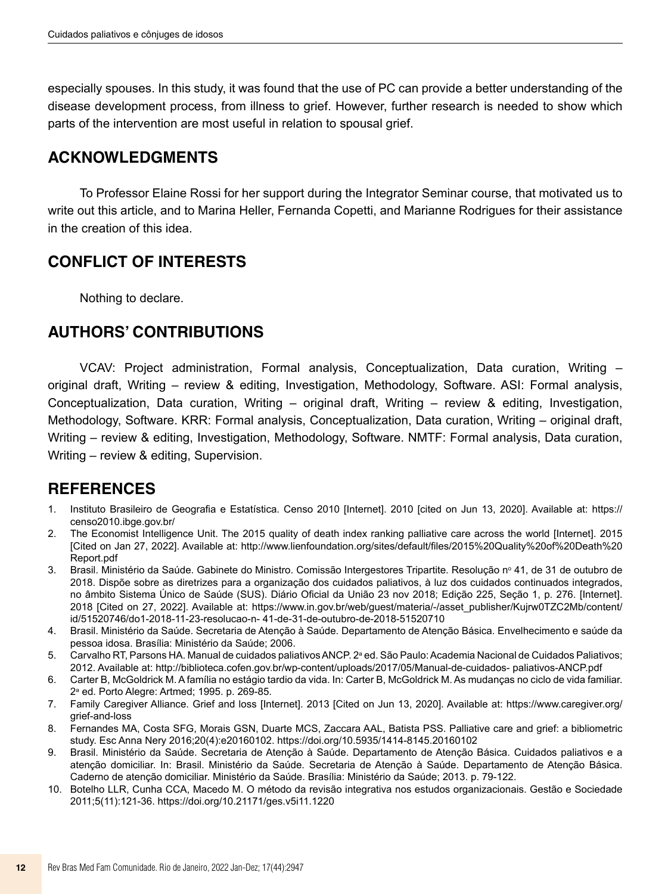especially spouses. In this study, it was found that the use of PC can provide a better understanding of the disease development process, from illness to grief. However, further research is needed to show which parts of the intervention are most useful in relation to spousal grief.

# **ACKNOWLEDGMENTS**

To Professor Elaine Rossi for her support during the Integrator Seminar course, that motivated us to write out this article, and to Marina Heller, Fernanda Copetti, and Marianne Rodrigues for their assistance in the creation of this idea.

# **CONFLICT OF INTERESTS**

Nothing to declare.

## **AUTHORS' CONTRIBUTIONS**

VCAV: Project administration, Formal analysis, Conceptualization, Data curation, Writing – original draft, Writing – review & editing, Investigation, Methodology, Software. ASI: Formal analysis, Conceptualization, Data curation, Writing – original draft, Writing – review & editing, Investigation, Methodology, Software. KRR: Formal analysis, Conceptualization, Data curation, Writing – original draft, Writing – review & editing, Investigation, Methodology, Software. NMTF: Formal analysis, Data curation, Writing – review & editing, Supervision.

## **REFERENCES**

- 1. Instituto Brasileiro de Geografia e Estatística. Censo 2010 [Internet]. 2010 [cited on Jun 13, 2020]. Available at: [https://](https://censo2010.ibge.gov.br/) [censo2010.ibge.gov.br/](https://censo2010.ibge.gov.br/)
- 2. The Economist Intelligence Unit. The 2015 quality of death index ranking palliative care across the world [Internet]. 2015 [Cited on Jan 27, 2022]. Available at: [http://www.lienfoundation.org/sites/default/files/2015%20Quality%20of%20Death%20](http://www.lienfoundation.org/sites/default/files/2015 Quality of Death )  Report.pdf
- 3. Brasil. Ministério da Saúde. Gabinete do Ministro. Comissão Intergestores Tripartite. Resolução nº 41, de 31 de outubro de 2018. Dispõe sobre as diretrizes para a organização dos cuidados paliativos, à luz dos cuidados continuados integrados, no âmbito Sistema Único de Saúde (SUS). Diário Oficial da União 23 nov 2018; Edição 225, Seção 1, p. 276. [Internet]. 2018 [Cited on 27, 2022]. Available at: https://[www.in.gov.br/web/guest/materia/-/](http://www.in.gov.br/web/guest/materia/-)asset\_publisher/Kujrw0TZC2Mb/content/ id/51520746/do1-2018-11-23-resolucao-n- 41-de-31-de-outubro-de-2018-51520710
- 4. Brasil. Ministério da Saúde. Secretaria de Atenção à Saúde. Departamento de Atenção Básica. Envelhecimento e saúde da pessoa idosa. Brasília: Ministério da Saúde; 2006.
- 5. Carvalho RT, Parsons HA. Manual de cuidados paliativos ANCP. 2ª ed. São Paulo: Academia Nacional de Cuidados Paliativos; 2012. Available at:<http://biblioteca.cofen.gov.br/wp-content/uploads/2017/05/Manual-de-cuidados->paliativos-ANCP.pdf
- 6. Carter B, McGoldrick M. A família no estágio tardio da vida. In: Carter B, McGoldrick M. As mudanças no ciclo de vida familiar. 2a ed. Porto Alegre: Artmed; 1995. p. 269-85.
- 7. Family Caregiver Alliance. Grief and loss [Internet]. 2013 [Cited on Jun 13, 2020]. Available at: https:[//www.caregiver.org/](http://www.caregiver.org/grief-and-loss) [grief-and-loss](http://www.caregiver.org/grief-and-loss)
- 8. Fernandes MA, Costa SFG, Morais GSN, Duarte MCS, Zaccara AAL, Batista PSS. Palliative care and grief: a bibliometric study. Esc Anna Nery 2016;20(4):e20160102.<https://doi.org/10.5935/1414-8145.20160102>
- 9. Brasil. Ministério da Saúde. Secretaria de Atenção à Saúde. Departamento de Atenção Básica. Cuidados paliativos e a atenção domiciliar. In: Brasil. Ministério da Saúde. Secretaria de Atenção à Saúde. Departamento de Atenção Básica. Caderno de atenção domiciliar. Ministério da Saúde. Brasília: Ministério da Saúde; 2013. p. 79-122.
- 10. Botelho LLR, Cunha CCA, Macedo M. O método da revisão integrativa nos estudos organizacionais. Gestão e Sociedade 2011;5(11):121-36.<https://doi.org/10.21171/ges.v5i11.1220>